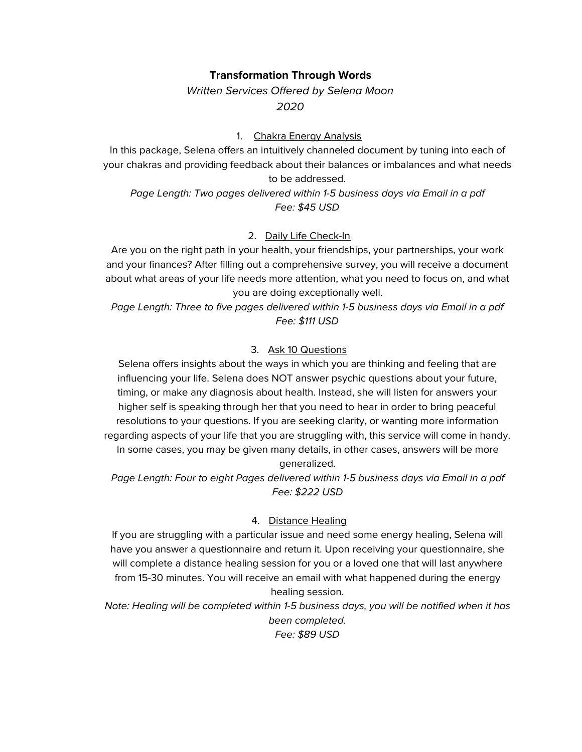### **Transformation Through Words**

# Written Services Offered by Selena Moon 2020

### 1. Chakra Energy Analysis

In this package, Selena offers an intuitively channeled document by tuning into each of your chakras and providing feedback about their balances or imbalances and what needs to be addressed.

Page Length: Two pages delivered within 1-5 business days via Email in a pdf Fee: \$45 USD

### 2. Daily Life Check-In

Are you on the right path in your health, your friendships, your partnerships, your work and your finances? After filling out a comprehensive survey, you will receive a document about what areas of your life needs more attention, what you need to focus on, and what you are doing exceptionally well.

Page Length: Three to five pages delivered within 1-5 business days via Email in a pdf Fee: \$111 USD

### 3. Ask 10 Questions

Selena offers insights about the ways in which you are thinking and feeling that are influencing your life. Selena does NOT answer psychic questions about your future, timing, or make any diagnosis about health. Instead, she will listen for answers your higher self is speaking through her that you need to hear in order to bring peaceful resolutions to your questions. If you are seeking clarity, or wanting more information regarding aspects of your life that you are struggling with, this service will come in handy. In some cases, you may be given many details, in other cases, answers will be more generalized.

Page Length: Four to eight Pages delivered within 1-5 business days via Email in a pdf Fee: \$222 USD

#### 4. Distance Healing

If you are struggling with a particular issue and need some energy healing, Selena will have you answer a questionnaire and return it. Upon receiving your questionnaire, she will complete a distance healing session for you or a loved one that will last anywhere from 15-30 minutes. You will receive an email with what happened during the energy healing session.

Note: Healing will be completed within 1-5 business days, you will be notified when it has been completed.

Fee: \$89 USD